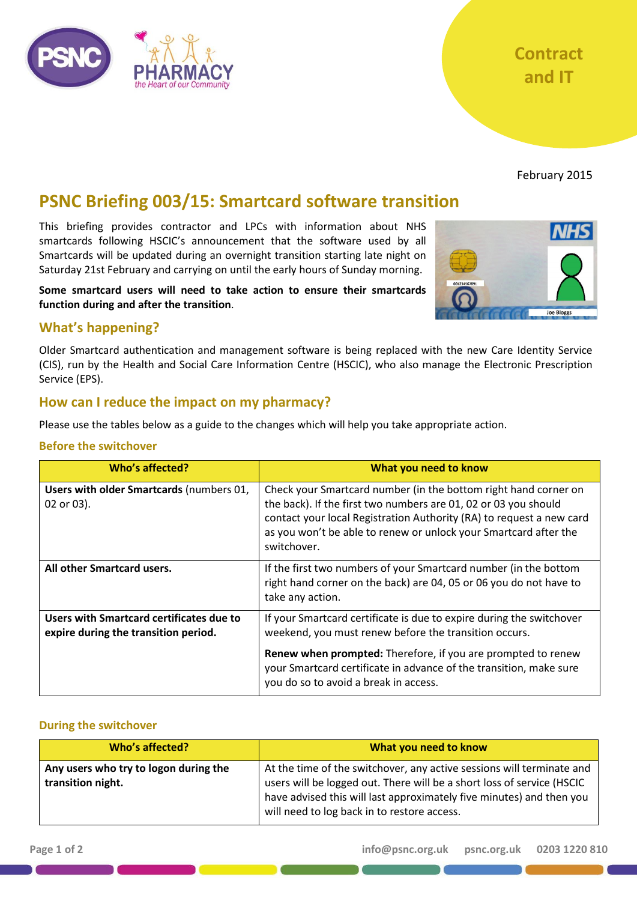

February 2015

# **PSNC Briefing 003/15: Smartcard software transition**

This briefing provides contractor and LPCs with information about NHS smartcards following HSCIC's announcement that the software used by all Smartcards will be updated during an overnight transition starting late night on Saturday 21st February and carrying on until the early hours of Sunday morning.

**Some smartcard users will need to take action to ensure their smartcards function during and after the transition**.



# **What's happening?**

Older Smartcard authentication and management software is being replaced with the new Care Identity Service (CIS), run by the Health and Social Care Information Centre (HSCIC), who also manage the Electronic Prescription Service (EPS).

# **How can I reduce the impact on my pharmacy?**

Please use the tables below as a guide to the changes which will help you take appropriate action.

# **Before the switchover**

| <b>Who's affected?</b>                                                           | What you need to know                                                                                                                                                                                                                                                                         |
|----------------------------------------------------------------------------------|-----------------------------------------------------------------------------------------------------------------------------------------------------------------------------------------------------------------------------------------------------------------------------------------------|
| Users with older Smartcards (numbers 01,<br>02 or 03).                           | Check your Smartcard number (in the bottom right hand corner on<br>the back). If the first two numbers are 01, 02 or 03 you should<br>contact your local Registration Authority (RA) to request a new card<br>as you won't be able to renew or unlock your Smartcard after the<br>switchover. |
| All other Smartcard users.                                                       | If the first two numbers of your Smartcard number (in the bottom<br>right hand corner on the back) are 04, 05 or 06 you do not have to<br>take any action.                                                                                                                                    |
| Users with Smartcard certificates due to<br>expire during the transition period. | If your Smartcard certificate is due to expire during the switchover<br>weekend, you must renew before the transition occurs.                                                                                                                                                                 |
|                                                                                  | <b>Renew when prompted:</b> Therefore, if you are prompted to renew<br>your Smartcard certificate in advance of the transition, make sure<br>you do so to avoid a break in access.                                                                                                            |

# **During the switchover**

| Who's affected?                                            | What you need to know                                                                                                                                                                                                                                                  |
|------------------------------------------------------------|------------------------------------------------------------------------------------------------------------------------------------------------------------------------------------------------------------------------------------------------------------------------|
| Any users who try to logon during the<br>transition night. | At the time of the switchover, any active sessions will terminate and<br>users will be logged out. There will be a short loss of service (HSCIC<br>have advised this will last approximately five minutes) and then you<br>will need to log back in to restore access. |